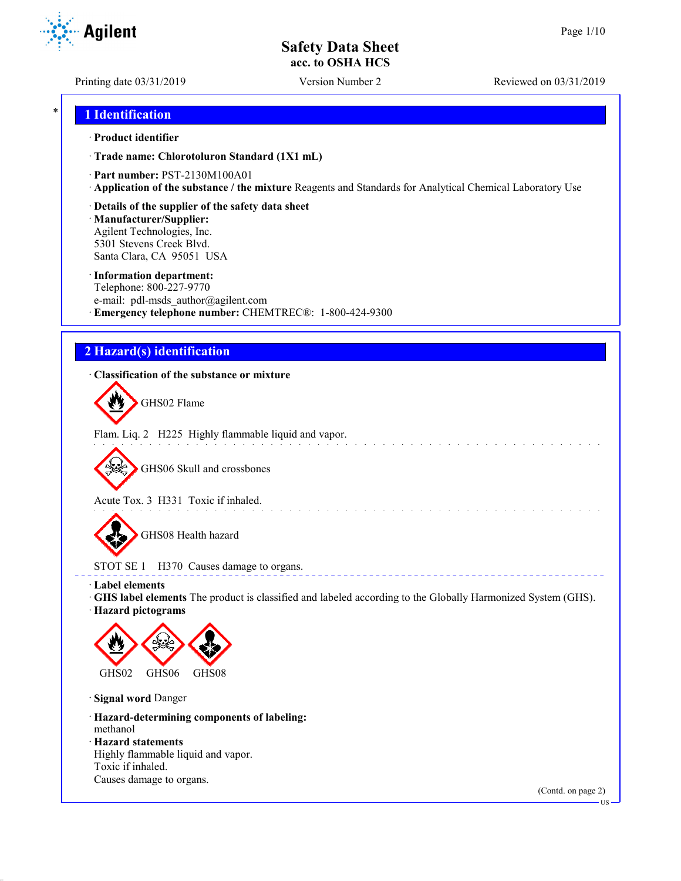Printing date 03/31/2019 Version Number 2 Reviewed on 03/31/2019

## \* **1 Identification**

#### · **Product identifier**

· **Trade name: Chlorotoluron Standard (1X1 mL)**

- · **Part number:** PST-2130M100A01
- · **Application of the substance / the mixture** Reagents and Standards for Analytical Chemical Laboratory Use
- · **Details of the supplier of the safety data sheet**

· **Manufacturer/Supplier:** Agilent Technologies, Inc. 5301 Stevens Creek Blvd. Santa Clara, CA 95051 USA

#### · **Information department:**

Telephone: 800-227-9770 e-mail: pdl-msds author@agilent.com · **Emergency telephone number:** CHEMTREC®: 1-800-424-9300

# **2 Hazard(s) identification**

## · **Classification of the substance or mixture**

GHS02 Flame

Flam. Liq. 2 H225 Highly flammable liquid and vapor.

GHS06 Skull and crossbones

Acute Tox. 3 H331 Toxic if inhaled.

GHS08 Health hazard

STOT SE 1 H370 Causes damage to organs.

- · **Label elements**
- · **GHS label elements** The product is classified and labeled according to the Globally Harmonized System (GHS).

and a straight and a straight

<u>a dia dia d</u>

· **Hazard pictograms**



· **Signal word** Danger

· **Hazard-determining components of labeling:**

methanol · **Hazard statements**

Highly flammable liquid and vapor. Toxic if inhaled. Causes damage to organs.

(Contd. on page 2)



US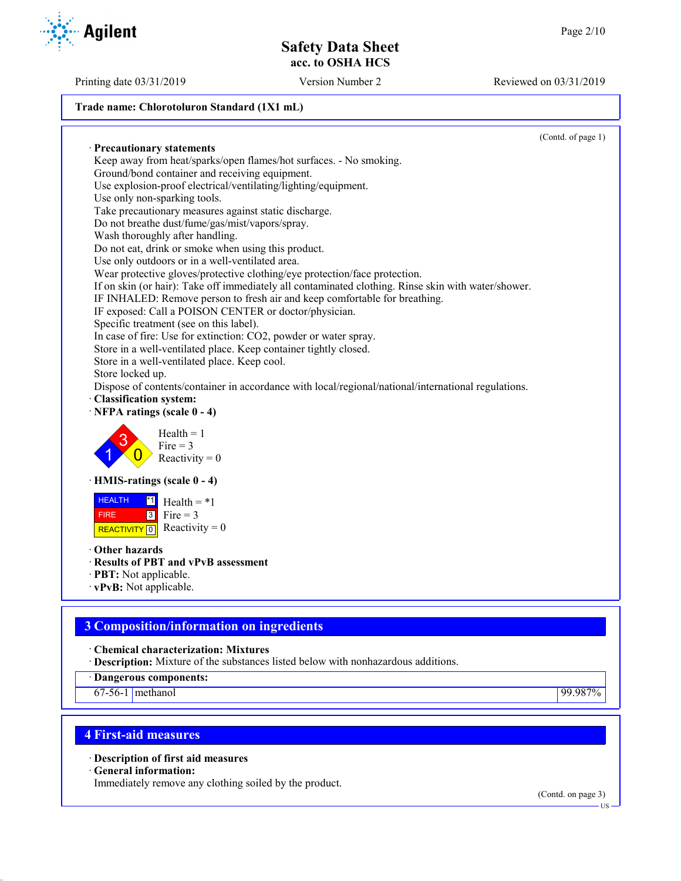Printing date 03/31/2019 Version Number 2 Reviewed on 03/31/2019

#### **Trade name: Chlorotoluron Standard (1X1 mL)**

· **Precautionary statements** Keep away from heat/sparks/open flames/hot surfaces. - No smoking. Ground/bond container and receiving equipment. Use explosion-proof electrical/ventilating/lighting/equipment. Use only non-sparking tools. Take precautionary measures against static discharge. Do not breathe dust/fume/gas/mist/vapors/spray. Wash thoroughly after handling. Do not eat, drink or smoke when using this product. Use only outdoors or in a well-ventilated area. Wear protective gloves/protective clothing/eye protection/face protection. If on skin (or hair): Take off immediately all contaminated clothing. Rinse skin with water/shower. IF INHALED: Remove person to fresh air and keep comfortable for breathing. IF exposed: Call a POISON CENTER or doctor/physician. Specific treatment (see on this label). In case of fire: Use for extinction: CO2, powder or water spray. Store in a well-ventilated place. Keep container tightly closed. Store in a well-ventilated place. Keep cool. Store locked up. Dispose of contents/container in accordance with local/regional/national/international regulations. · **Classification system:** · **NFPA ratings (scale 0 - 4)** 1 3  $\overline{0}$  $Health = 1$  $Fire = 3$ Reactivity  $= 0$ · **HMIS-ratings (scale 0 - 4) HEALTH**  FIRE REACTIVITY  $\boxed{0}$  Reactivity = 0  $\overline{1}$  Health = \*1  $3$  Fire = 3 · **Other hazards**

- · **Results of PBT and vPvB assessment**
- · **PBT:** Not applicable.
- · **vPvB:** Not applicable.

# **3 Composition/information on ingredients**

· **Chemical characterization: Mixtures**

· **Description:** Mixture of the substances listed below with nonhazardous additions.

· **Dangerous components:**

67-56-1 methanol 99.987%

# **4 First-aid measures**

· **Description of first aid measures**

· **General information:**

Immediately remove any clothing soiled by the product.

(Contd. on page 3)



(Contd. of page 1)

US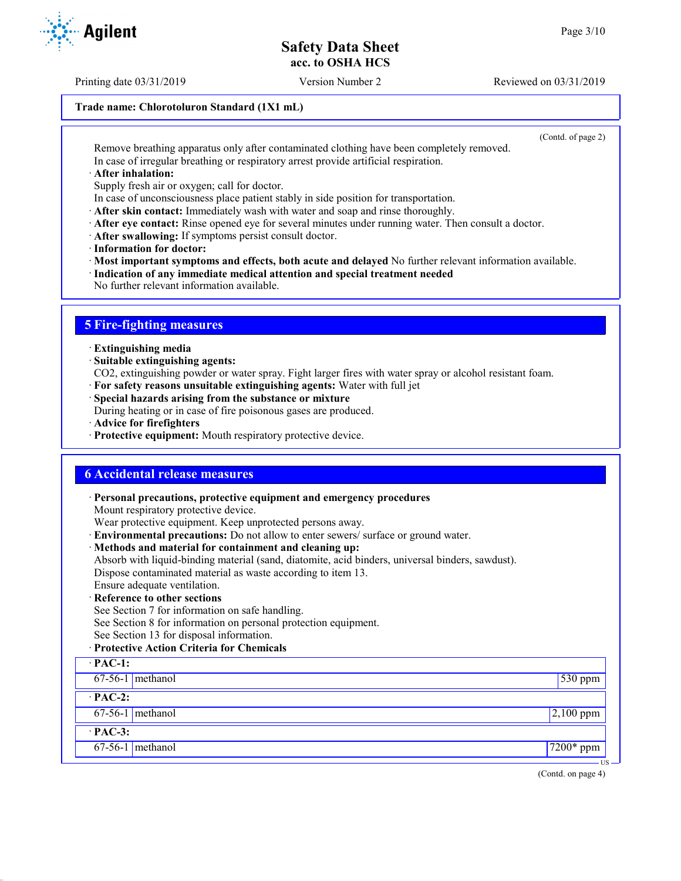Printing date 03/31/2019 Version Number 2 Reviewed on 03/31/2019

## **Trade name: Chlorotoluron Standard (1X1 mL)**

(Contd. of page 2)

Remove breathing apparatus only after contaminated clothing have been completely removed. In case of irregular breathing or respiratory arrest provide artificial respiration.

· **After inhalation:**

Supply fresh air or oxygen; call for doctor.

- In case of unconsciousness place patient stably in side position for transportation.
- · **After skin contact:** Immediately wash with water and soap and rinse thoroughly.
- · **After eye contact:** Rinse opened eye for several minutes under running water. Then consult a doctor.
- · **After swallowing:** If symptoms persist consult doctor.
- · **Information for doctor:**

· **Most important symptoms and effects, both acute and delayed** No further relevant information available.

- · **Indication of any immediate medical attention and special treatment needed**
- No further relevant information available.

# **5 Fire-fighting measures**

- · **Extinguishing media**
- · **Suitable extinguishing agents:**
- CO2, extinguishing powder or water spray. Fight larger fires with water spray or alcohol resistant foam.
- · **For safety reasons unsuitable extinguishing agents:** Water with full jet
- · **Special hazards arising from the substance or mixture**

During heating or in case of fire poisonous gases are produced.

- · **Advice for firefighters**
- · **Protective equipment:** Mouth respiratory protective device.

## **6 Accidental release measures**

· **Personal precautions, protective equipment and emergency procedures** Mount respiratory protective device. Wear protective equipment. Keep unprotected persons away. · **Environmental precautions:** Do not allow to enter sewers/ surface or ground water. · **Methods and material for containment and cleaning up:** Absorb with liquid-binding material (sand, diatomite, acid binders, universal binders, sawdust). Dispose contaminated material as waste according to item 13. Ensure adequate ventilation. · **Reference to other sections** See Section 7 for information on safe handling. See Section 8 for information on personal protection equipment. See Section 13 for disposal information. · **Protective Action Criteria for Chemicals** · **PAC-1:** 67-56-1 methanol 530 ppm · **PAC-2:**  $67-56-1$  methanol 2,100 ppm · **PAC-3:** 67-56-1 methanol 7200\* ppm



US

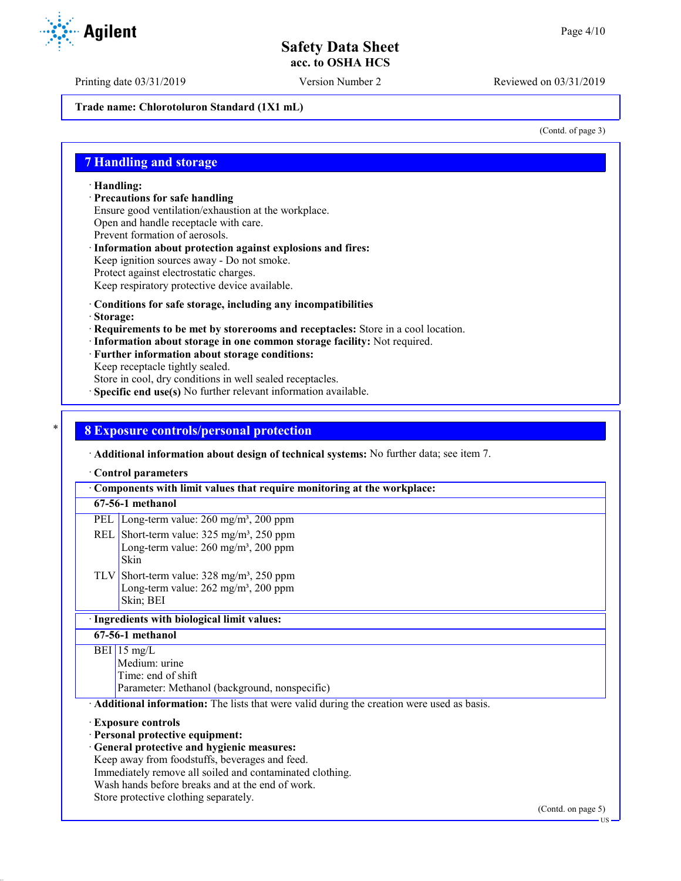Printing date 03/31/2019 Version Number 2 Reviewed on 03/31/2019

**Trade name: Chlorotoluron Standard (1X1 mL)**

(Contd. of page 3)

## **7 Handling and storage**

· **Handling:**

· **Precautions for safe handling**

Ensure good ventilation/exhaustion at the workplace.

Open and handle receptacle with care.

- Prevent formation of aerosols.
- · **Information about protection against explosions and fires:** Keep ignition sources away - Do not smoke.
- Protect against electrostatic charges.

Keep respiratory protective device available.

#### · **Conditions for safe storage, including any incompatibilities**

- · **Storage:**
- · **Requirements to be met by storerooms and receptacles:** Store in a cool location.
- · **Information about storage in one common storage facility:** Not required.
- · **Further information about storage conditions:**
- Keep receptacle tightly sealed.

Store in cool, dry conditions in well sealed receptacles.

· **Specific end use(s)** No further relevant information available.

## \* **8 Exposure controls/personal protection**

· **Additional information about design of technical systems:** No further data; see item 7.

· **Control parameters**

· **Components with limit values that require monitoring at the workplace: 67-56-1 methanol** PEL Long-term value: 260 mg/m<sup>3</sup>, 200 ppm REL Short-term value:  $325 \text{ mg/m}^3$ ,  $250 \text{ ppm}$ Long-term value:  $260$  mg/m<sup>3</sup>,  $200$  ppm Skin TLV Short-term value: 328 mg/m³, 250 ppm Long-term value:  $262$  mg/m<sup>3</sup>,  $200$  ppm Skin; BEI · **Ingredients with biological limit values: 67-56-1 methanol**  $BEI$  15 mg/L Medium: urine Time: end of shift Parameter: Methanol (background, nonspecific) · **Additional information:** The lists that were valid during the creation were used as basis. · **Exposure controls** · **Personal protective equipment:** · **General protective and hygienic measures:** Keep away from foodstuffs, beverages and feed. Immediately remove all soiled and contaminated clothing. Wash hands before breaks and at the end of work. Store protective clothing separately.

(Contd. on page 5)

```
 US
```
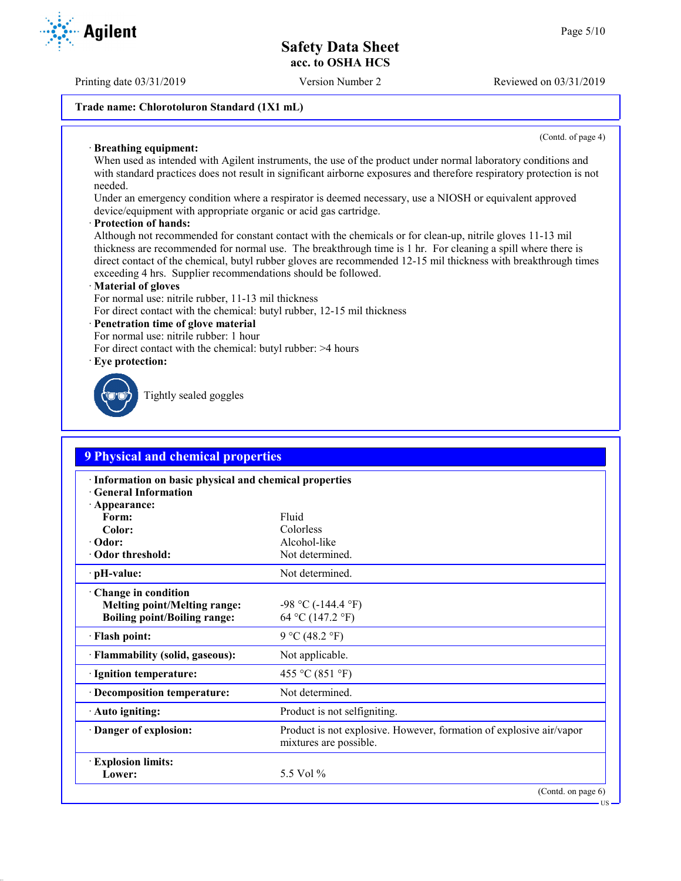Printing date 03/31/2019 Version Number 2 Reviewed on 03/31/2019

## **Trade name: Chlorotoluron Standard (1X1 mL)**

(Contd. of page 4)

US

#### · **Breathing equipment:**

When used as intended with Agilent instruments, the use of the product under normal laboratory conditions and with standard practices does not result in significant airborne exposures and therefore respiratory protection is not needed.

Under an emergency condition where a respirator is deemed necessary, use a NIOSH or equivalent approved device/equipment with appropriate organic or acid gas cartridge.

#### · **Protection of hands:**

Although not recommended for constant contact with the chemicals or for clean-up, nitrile gloves 11-13 mil thickness are recommended for normal use. The breakthrough time is 1 hr. For cleaning a spill where there is direct contact of the chemical, butyl rubber gloves are recommended 12-15 mil thickness with breakthrough times exceeding 4 hrs. Supplier recommendations should be followed.

#### · **Material of gloves**

For normal use: nitrile rubber, 11-13 mil thickness

For direct contact with the chemical: butyl rubber, 12-15 mil thickness

#### · **Penetration time of glove material**

For normal use: nitrile rubber: 1 hour

For direct contact with the chemical: butyl rubber: >4 hours

· **Eye protection:**



Tightly sealed goggles

| <b>9 Physical and chemical properties</b>                                                                    |                                                                                               |  |
|--------------------------------------------------------------------------------------------------------------|-----------------------------------------------------------------------------------------------|--|
| · Information on basic physical and chemical properties<br><b>Ceneral Information</b><br>$\cdot$ Appearance: |                                                                                               |  |
| Form:                                                                                                        | Fluid                                                                                         |  |
| Color:                                                                                                       | Colorless                                                                                     |  |
| · Odor:                                                                                                      | Alcohol-like                                                                                  |  |
| Odor threshold:                                                                                              | Not determined.                                                                               |  |
| $\cdot$ pH-value:                                                                                            | Not determined.                                                                               |  |
| Change in condition<br><b>Melting point/Melting range:</b><br><b>Boiling point/Boiling range:</b>            | $-98$ °C ( $-144.4$ °F)<br>64 °C (147.2 °F)                                                   |  |
| · Flash point:                                                                                               | 9 °C (48.2 °F)                                                                                |  |
| · Flammability (solid, gaseous):                                                                             | Not applicable.                                                                               |  |
| · Ignition temperature:                                                                                      | 455 °C (851 °F)                                                                               |  |
| · Decomposition temperature:                                                                                 | Not determined.                                                                               |  |
| · Auto igniting:                                                                                             | Product is not selfigniting.                                                                  |  |
| Danger of explosion:                                                                                         | Product is not explosive. However, formation of explosive air/vapor<br>mixtures are possible. |  |
| <b>Explosion limits:</b><br>Lower:                                                                           | 5.5 Vol $\%$                                                                                  |  |
|                                                                                                              | (Contd. on page 6)                                                                            |  |

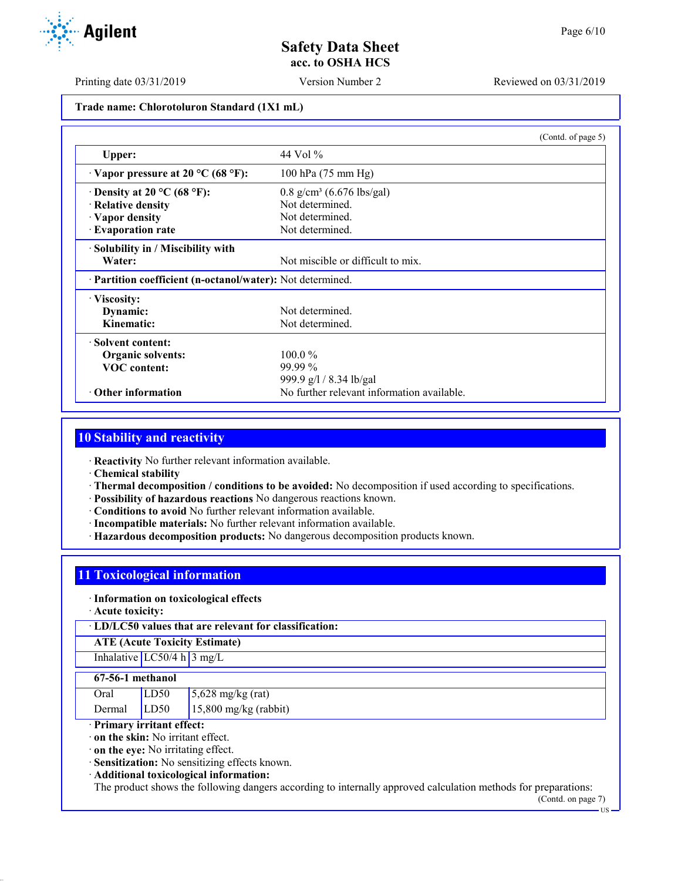Printing date 03/31/2019 Version Number 2 Reviewed on 03/31/2019

## **Trade name: Chlorotoluron Standard (1X1 mL)**

|                                                            | (Contd. of page 5)                         |
|------------------------------------------------------------|--------------------------------------------|
| Upper:                                                     | 44 Vol %                                   |
| $\cdot$ Vapor pressure at 20 °C (68 °F):                   | 100 hPa (75 mm Hg)                         |
| $\cdot$ Density at 20 °C (68 °F):                          | $0.8$ g/cm <sup>3</sup> (6.676 lbs/gal)    |
| · Relative density                                         | Not determined.                            |
| · Vapor density                                            | Not determined.                            |
| · Evaporation rate                                         | Not determined.                            |
| · Solubility in / Miscibility with                         |                                            |
| Water:                                                     | Not miscible or difficult to mix.          |
| · Partition coefficient (n-octanol/water): Not determined. |                                            |
| · Viscosity:                                               |                                            |
| Dynamic:                                                   | Not determined.                            |
| Kinematic:                                                 | Not determined.                            |
| · Solvent content:                                         |                                            |
| Organic solvents:                                          | $100.0\%$                                  |
| <b>VOC</b> content:                                        | $99.99\%$                                  |
|                                                            | 999.9 g/l / 8.34 lb/gal                    |
| Other information                                          | No further relevant information available. |

# **10 Stability and reactivity**

· **Reactivity** No further relevant information available.

- · **Chemical stability**
- · **Thermal decomposition / conditions to be avoided:** No decomposition if used according to specifications.
- · **Possibility of hazardous reactions** No dangerous reactions known.
- · **Conditions to avoid** No further relevant information available.
- · **Incompatible materials:** No further relevant information available.
- · **Hazardous decomposition products:** No dangerous decomposition products known.

## **11 Toxicological information**

#### · **Information on toxicological effects**

· **Acute toxicity:**

· **LD/LC50 values that are relevant for classification:**

**ATE (Acute Toxicity Estimate)**

# Inhalative  $LC50/4$  h  $3$  mg/L

#### **67-56-1 methanol**

| Oral   | LD <sub>50</sub> | $5,628$ mg/kg (rat)     |
|--------|------------------|-------------------------|
| Dermal | LD50             | $15,800$ mg/kg (rabbit) |

#### · **Primary irritant effect:**

· **on the skin:** No irritant effect.

· **on the eye:** No irritating effect.

· **Sensitization:** No sensitizing effects known.

· **Additional toxicological information:**

The product shows the following dangers according to internally approved calculation methods for preparations: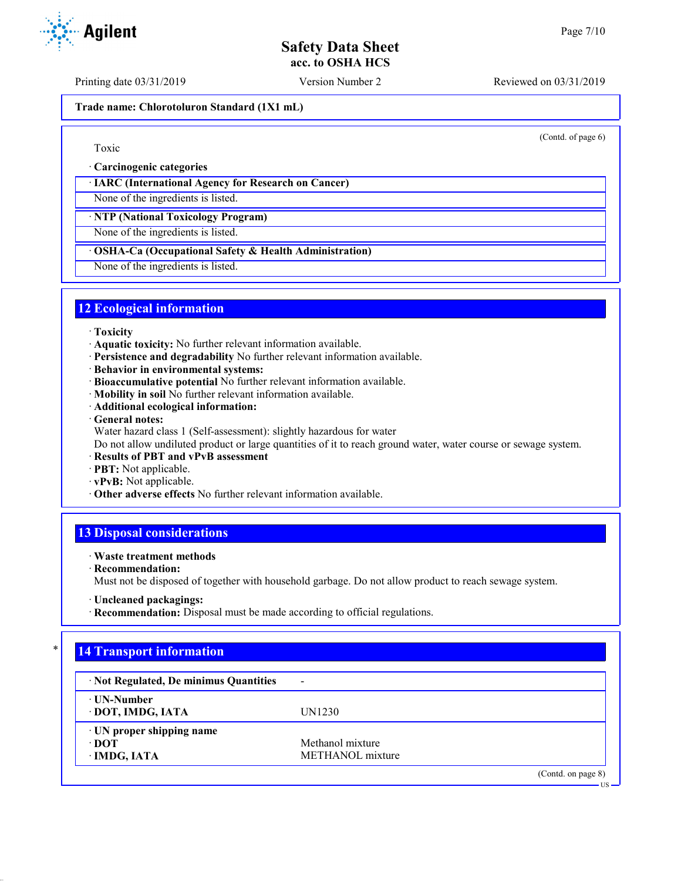(Contd. of page 6)

# **Safety Data Sheet acc. to OSHA HCS**

Printing date 03/31/2019 Version Number 2 Reviewed on 03/31/2019

**Trade name: Chlorotoluron Standard (1X1 mL)**

## Toxic

· **Carcinogenic categories**

## · **IARC (International Agency for Research on Cancer)**

None of the ingredients is listed.

· **NTP (National Toxicology Program)**

None of the ingredients is listed.

## · **OSHA-Ca (Occupational Safety & Health Administration)**

None of the ingredients is listed.

## **12 Ecological information**

#### · **Toxicity**

- · **Aquatic toxicity:** No further relevant information available.
- · **Persistence and degradability** No further relevant information available.
- · **Behavior in environmental systems:**
- · **Bioaccumulative potential** No further relevant information available.
- · **Mobility in soil** No further relevant information available.
- · **Additional ecological information:**
- · **General notes:**
- Water hazard class 1 (Self-assessment): slightly hazardous for water

Do not allow undiluted product or large quantities of it to reach ground water, water course or sewage system.

- · **Results of PBT and vPvB assessment**
- · **PBT:** Not applicable.
- · **vPvB:** Not applicable.
- · **Other adverse effects** No further relevant information available.

# **13 Disposal considerations**

## · **Waste treatment methods**

· **Recommendation:**

Must not be disposed of together with household garbage. Do not allow product to reach sewage system.

· **Recommendation:** Disposal must be made according to official regulations.

# **14 Transport information**

| · Not Regulated, De minimus Quantities | $\overline{\phantom{a}}$ |                   |
|----------------------------------------|--------------------------|-------------------|
| ⋅ UN-Number                            |                          |                   |
| · DOT, IMDG, IATA                      | UN1230                   |                   |
| $\cdot$ UN proper shipping name        |                          |                   |
| ∙ DOT                                  | Methanol mixture         |                   |
| · IMDG, IATA                           | METHANOL mixture         |                   |
|                                        |                          | (Cond. on page 8) |
|                                        |                          | $US -$            |



<sup>·</sup> **Uncleaned packagings:**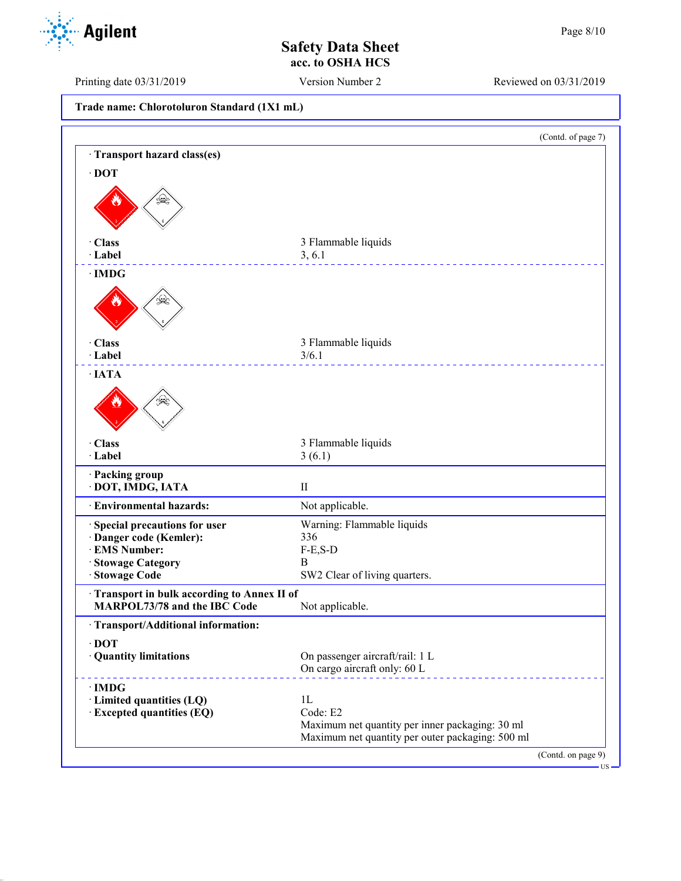Printing date 03/31/2019 Version Number 2 Reviewed on 03/31/2019

|  | Trade name: Chlorotoluron Standard (1X1 mL) |  |  |  |
|--|---------------------------------------------|--|--|--|
|--|---------------------------------------------|--|--|--|

| Transport hazard class(es)<br>$\cdot$ DOT<br>· Class<br>· Label<br>3, 6.1<br>$\cdot$ IMDG<br>بليوا<br>· Class<br>3/6.1<br>· Label<br>$\cdot$ IATA<br>· Class<br>3(6.1)<br>· Label<br>· Packing group<br>· DOT, IMDG, IATA<br>$\rm II$<br>· Environmental hazards:<br>· Special precautions for user<br>· Danger code (Kemler):<br>336<br>· EMS Number:<br>$F-E, S-D$<br>· Stowage Category<br>B<br>Stowage Code<br>Transport in bulk according to Annex II of<br>MARPOL73/78 and the IBC Code<br>· Transport/Additional information: | 3 Flammable liquids<br>3 Flammable liquids<br>3 Flammable liquids                                   |
|--------------------------------------------------------------------------------------------------------------------------------------------------------------------------------------------------------------------------------------------------------------------------------------------------------------------------------------------------------------------------------------------------------------------------------------------------------------------------------------------------------------------------------------|-----------------------------------------------------------------------------------------------------|
|                                                                                                                                                                                                                                                                                                                                                                                                                                                                                                                                      |                                                                                                     |
|                                                                                                                                                                                                                                                                                                                                                                                                                                                                                                                                      |                                                                                                     |
|                                                                                                                                                                                                                                                                                                                                                                                                                                                                                                                                      |                                                                                                     |
|                                                                                                                                                                                                                                                                                                                                                                                                                                                                                                                                      |                                                                                                     |
|                                                                                                                                                                                                                                                                                                                                                                                                                                                                                                                                      |                                                                                                     |
|                                                                                                                                                                                                                                                                                                                                                                                                                                                                                                                                      |                                                                                                     |
|                                                                                                                                                                                                                                                                                                                                                                                                                                                                                                                                      |                                                                                                     |
|                                                                                                                                                                                                                                                                                                                                                                                                                                                                                                                                      |                                                                                                     |
|                                                                                                                                                                                                                                                                                                                                                                                                                                                                                                                                      |                                                                                                     |
|                                                                                                                                                                                                                                                                                                                                                                                                                                                                                                                                      |                                                                                                     |
|                                                                                                                                                                                                                                                                                                                                                                                                                                                                                                                                      |                                                                                                     |
|                                                                                                                                                                                                                                                                                                                                                                                                                                                                                                                                      |                                                                                                     |
|                                                                                                                                                                                                                                                                                                                                                                                                                                                                                                                                      |                                                                                                     |
|                                                                                                                                                                                                                                                                                                                                                                                                                                                                                                                                      | Not applicable.                                                                                     |
|                                                                                                                                                                                                                                                                                                                                                                                                                                                                                                                                      | Warning: Flammable liquids                                                                          |
|                                                                                                                                                                                                                                                                                                                                                                                                                                                                                                                                      |                                                                                                     |
|                                                                                                                                                                                                                                                                                                                                                                                                                                                                                                                                      |                                                                                                     |
|                                                                                                                                                                                                                                                                                                                                                                                                                                                                                                                                      | SW2 Clear of living quarters.                                                                       |
|                                                                                                                                                                                                                                                                                                                                                                                                                                                                                                                                      |                                                                                                     |
|                                                                                                                                                                                                                                                                                                                                                                                                                                                                                                                                      | Not applicable.                                                                                     |
|                                                                                                                                                                                                                                                                                                                                                                                                                                                                                                                                      |                                                                                                     |
| $\cdot$ DOT                                                                                                                                                                                                                                                                                                                                                                                                                                                                                                                          |                                                                                                     |
| · Quantity limitations                                                                                                                                                                                                                                                                                                                                                                                                                                                                                                               | On passenger aircraft/rail: 1 L<br>On cargo aircraft only: 60 L                                     |
| $\cdot$ IMDG                                                                                                                                                                                                                                                                                                                                                                                                                                                                                                                         |                                                                                                     |
| 1L<br>· Limited quantities (LQ)                                                                                                                                                                                                                                                                                                                                                                                                                                                                                                      |                                                                                                     |
| · Excepted quantities (EQ)                                                                                                                                                                                                                                                                                                                                                                                                                                                                                                           |                                                                                                     |
|                                                                                                                                                                                                                                                                                                                                                                                                                                                                                                                                      | Code: E2                                                                                            |
|                                                                                                                                                                                                                                                                                                                                                                                                                                                                                                                                      | Maximum net quantity per inner packaging: 30 ml<br>Maximum net quantity per outer packaging: 500 ml |

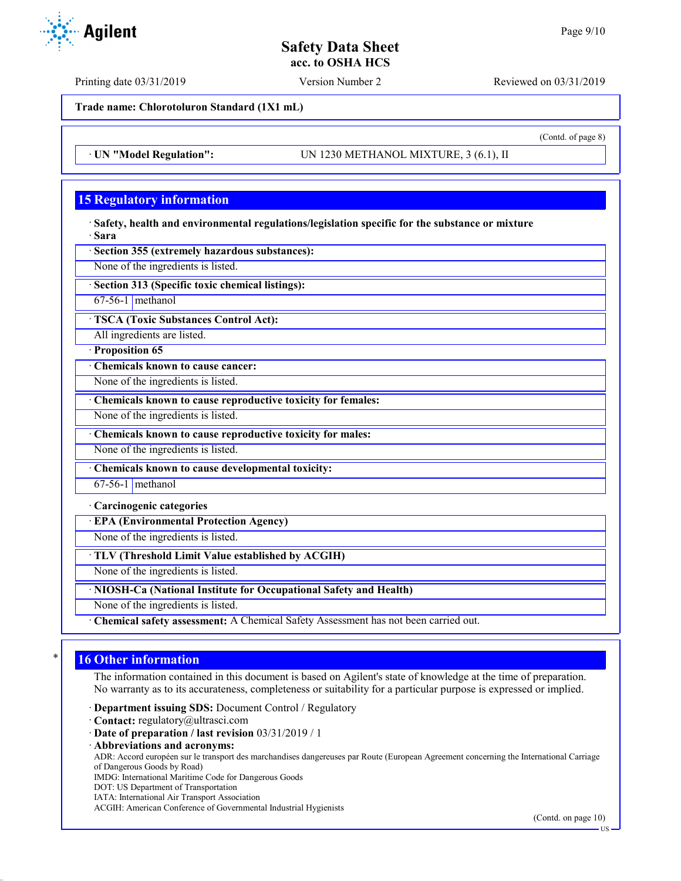Printing date 03/31/2019 Version Number 2 Reviewed on 03/31/2019

**Trade name: Chlorotoluron Standard (1X1 mL)**

· **UN "Model Regulation":** UN 1230 METHANOL MIXTURE, 3 (6.1), II

# **15 Regulatory information**

· **Safety, health and environmental regulations/legislation specific for the substance or mixture** · **Sara**

· **Section 355 (extremely hazardous substances):**

None of the ingredients is listed.

· **Section 313 (Specific toxic chemical listings):**

 $67-56-1$  methanol

· **TSCA (Toxic Substances Control Act):**

All ingredients are listed.

· **Proposition 65**

· **Chemicals known to cause cancer:**

None of the ingredients is listed.

· **Chemicals known to cause reproductive toxicity for females:**

None of the ingredients is listed.

· **Chemicals known to cause reproductive toxicity for males:**

None of the ingredients is listed.

· **Chemicals known to cause developmental toxicity:**

67-56-1 methanol

· **Carcinogenic categories**

· **EPA (Environmental Protection Agency)**

None of the ingredients is listed.

· **TLV (Threshold Limit Value established by ACGIH)**

None of the ingredients is listed.

· **NIOSH-Ca (National Institute for Occupational Safety and Health)**

None of the ingredients is listed.

· **Chemical safety assessment:** A Chemical Safety Assessment has not been carried out.

# **16 Other information**

The information contained in this document is based on Agilent's state of knowledge at the time of preparation. No warranty as to its accurateness, completeness or suitability for a particular purpose is expressed or implied.

· **Department issuing SDS:** Document Control / Regulatory

· **Contact:** regulatory@ultrasci.com

· **Date of preparation / last revision** 03/31/2019 / 1

· **Abbreviations and acronyms:**

ADR: Accord européen sur le transport des marchandises dangereuses par Route (European Agreement concerning the International Carriage of Dangerous Goods by Road)

IMDG: International Maritime Code for Dangerous Goods

DOT: US Department of Transportation

IATA: International Air Transport Association

ACGIH: American Conference of Governmental Industrial Hygienists



(Contd. of page 8)